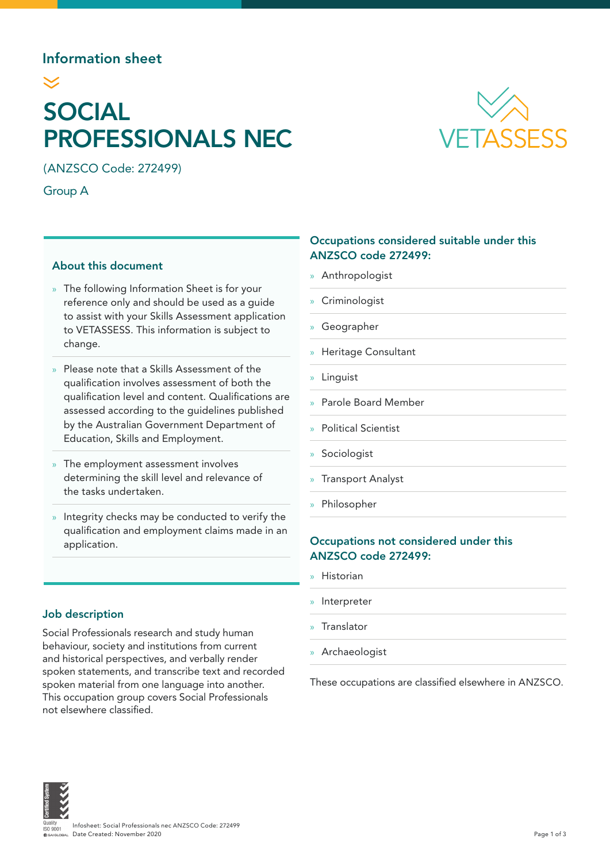# Information sheet

# SOCIAL PROFESSIONALS NEC

(ANZSCO Code: 272499)

Group A

# About this document

- » The following Information Sheet is for your reference only and should be used as a guide to assist with your Skills Assessment application to VETASSESS. This information is subject to change.
- » Please note that a Skills Assessment of the qualification involves assessment of both the qualification level and content. Qualifications are assessed according to the guidelines published by the Australian Government Department of Education, Skills and Employment.
- » The employment assessment involves determining the skill level and relevance of the tasks undertaken.
- » Integrity checks may be conducted to verify the qualification and employment claims made in an application.

# Job description

Social Professionals research and study human behaviour, society and institutions from current and historical perspectives, and verbally render spoken statements, and transcribe text and recorded spoken material from one language into another. This occupation group covers Social Professionals not elsewhere classified.

# Occupations considered suitable under this ANZSCO code 272499:

- » Anthropologist
- » Criminologist
- » Geographer
- » Heritage Consultant
- » Linguist
- » Parole Board Member
- » Political Scientist
- » Sociologist
- » Transport Analyst
- » Philosopher

# Occupations not considered under this ANZSCO code 272499:

- » Historian
- » Interpreter
- » Translator
- » Archaeologist

These occupations are classified elsewhere in ANZSCO.



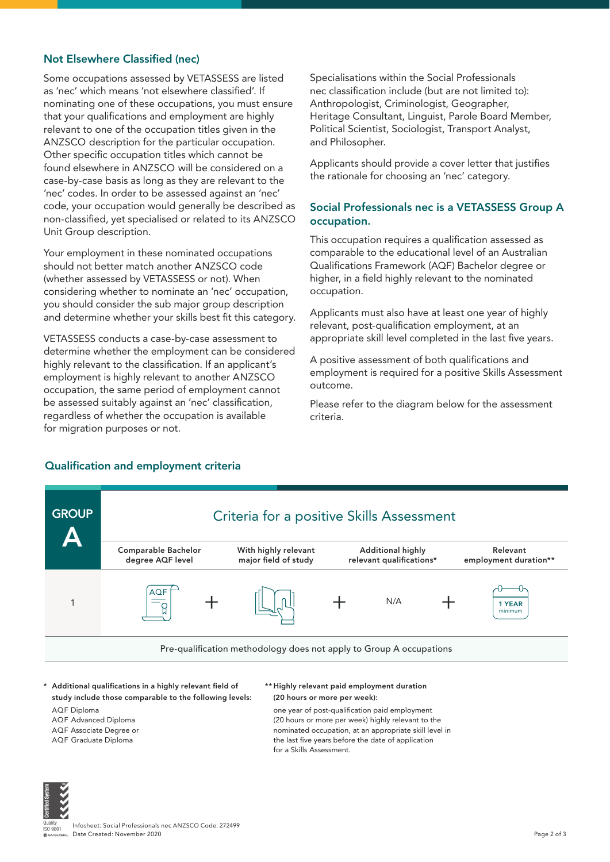## Not Elsewhere Classified (nec)

Some occupations assessed by VETASSESS are listed as 'nec' which means 'not elsewhere classified'. If nominating one of these occupations, you must ensure that your qualifications and employment are highly relevant to one of the occupation titles given in the ANZSCO description for the particular occupation. Other specific occupation titles which cannot be found elsewhere in ANZSCO will be considered on a case-by-case basis as long as they are relevant to the 'nec' codes. In order to be assessed against an 'nec' code, your occupation would generally be described as non-classified, yet specialised or related to its ANZSCO Unit Group description.

Your employment in these nominated occupations should not better match another ANZSCO code (whether assessed by VETASSESS or not). When considering whether to nominate an 'nec' occupation, you should consider the sub major group description and determine whether your skills best fit this category.

VETASSESS conducts a case-by-case assessment to determine whether the employment can be considered highly relevant to the classification. If an applicant's employment is highly relevant to another ANZSCO occupation, the same period of employment cannot be assessed suitably against an 'nec' classification, regardless of whether the occupation is available for migration purposes or not.

Qualification and employment criteria

Specialisations within the Social Professionals nec classification include (but are not limited to): Anthropologist, Criminologist, Geographer, Heritage Consultant, Linguist, Parole Board Member, Political Scientist, Sociologist, Transport Analyst, and Philosopher.

Applicants should provide a cover letter that justifies the rationale for choosing an 'nec' category.

# Social Professionals nec is a VETASSESS Group A occupation.

This occupation requires a qualification assessed as comparable to the educational level of an Australian Qualifications Framework (AQF) Bachelor degree or higher, in a field highly relevant to the nominated occupation.

Applicants must also have at least one year of highly relevant, post-qualification employment, at an appropriate skill level completed in the last five years.

A positive assessment of both qualifications and employment is required for a positive Skills Assessment outcome.

Please refer to the diagram below for the assessment criteria.



- Additional qualifications in a highly relevant field of study include those comparable to the following levels: AQF Diploma
- AQF Advanced Diploma
- AQF Associate Degree or
- AQF Graduate Diploma

### \*\* Highly relevant paid employment duration (20 hours or more per week):

one year of post-qualification paid employment (20 hours or more per week) highly relevant to the nominated occupation, at an appropriate skill level in the last five years before the date of application for a Skills Assessment.